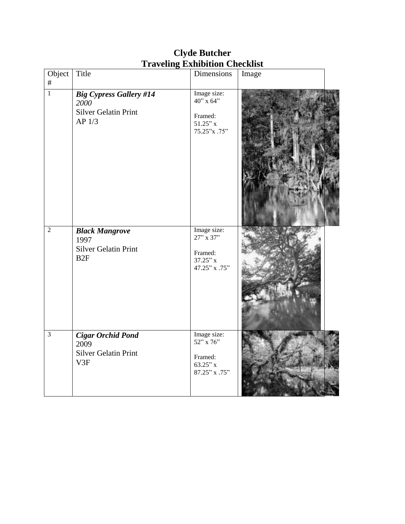| Object<br>$\#$ | Title                                                                                      | Dimensions                                                               | Image |  |
|----------------|--------------------------------------------------------------------------------------------|--------------------------------------------------------------------------|-------|--|
| $\overline{1}$ | <b>Big Cypress Gallery #14</b><br>2000<br><b>Silver Gelatin Print</b><br>AP <sub>1/3</sub> | Image size:<br>$40''$ x 64"<br>Framed:<br>$51.25"$ x<br>75.25"x .75"     |       |  |
| $\overline{2}$ | <b>Black Mangrove</b><br>1997<br><b>Silver Gelatin Print</b><br>B2F                        | Image size:<br>$27''$ x $37''$<br>Framed:<br>$37.25"$ x<br>47.25" x .75" |       |  |
| $\overline{3}$ | <b>Cigar Orchid Pond</b><br>2009<br><b>Silver Gelatin Print</b><br>V3F                     | Image size:<br>52" x 76"<br>Framed:<br>$63.25"$ x<br>87.25" x .75"       |       |  |

## **Clyde Butcher Traveling Exhibition Checklist**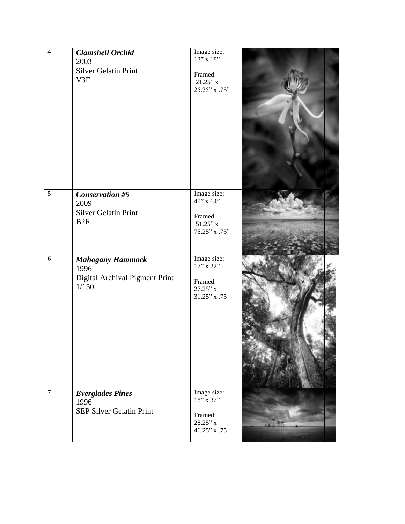| $\overline{4}$ | <b>Clamshell Orchid</b><br>2003<br><b>Silver Gelatin Print</b><br>V3F            | Image size:<br>$13''$ x 18"<br>Framed:<br>$21.25"$ x<br>25.25" x .75"   |  |
|----------------|----------------------------------------------------------------------------------|-------------------------------------------------------------------------|--|
| $\overline{5}$ | <b>Conservation #5</b><br>2009<br><b>Silver Gelatin Print</b><br>B <sub>2F</sub> | Image size:<br>$40$ " x 64"<br>Framed:<br>$51.25"$ x<br>$75.25"$ x .75" |  |
| $\overline{6}$ | <b>Mahogany Hammock</b><br>1996<br>Digital Archival Pigment Print<br>1/150       | Image size:<br>17" x 22"<br>Framed:<br>$27.25"$ x<br>$31.25"$ x .75     |  |
| $\overline{7}$ | <b>Everglades Pines</b><br>1996<br><b>SEP Silver Gelatin Print</b>               | Image size:<br>18" x 37"<br>Framed:<br>$28.25"$ x<br>46.25" x .75       |  |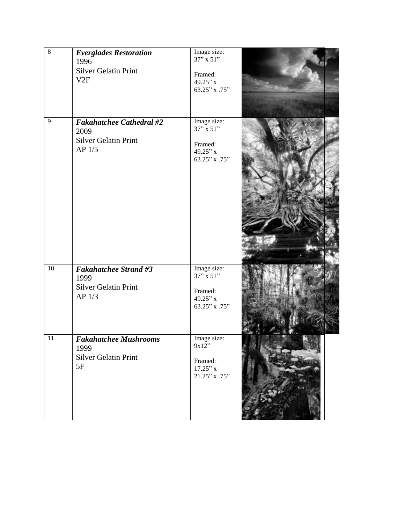| $\overline{8}$ | <b>Everglades Restoration</b><br>1996<br><b>Silver Gelatin Print</b><br>V2F      | Image size:<br>37" x 51"<br>Framed:<br>49.25" x<br>63.25" x .75"  |  |
|----------------|----------------------------------------------------------------------------------|-------------------------------------------------------------------|--|
| 9              | <b>Fakahatchee Cathedral #2</b><br>2009<br><b>Silver Gelatin Print</b><br>AP 1/5 | Image size:<br>$37"$ x 51"<br>Framed:<br>49.25"x<br>63.25" x .75" |  |
| 10             | <b>Fakahatchee Strand #3</b><br>1999<br><b>Silver Gelatin Print</b><br>$AP$ 1/3  | Image size:<br>$37"$ x 51"<br>Framed:<br>49.25"x<br>63.25" x .75" |  |
| 11             | <b>Fakahatchee Mushrooms</b><br>1999<br><b>Silver Gelatin Print</b><br>5F        | Image size:<br>9x12"<br>Framed:<br>$17.25"$ x<br>21.25" x .75"    |  |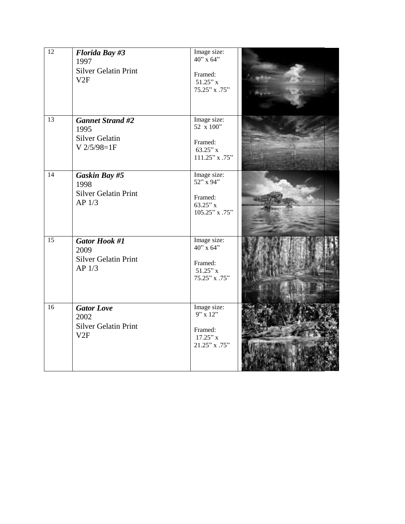| 12              | <b>Florida Bay #3</b><br>1997<br><b>Silver Gelatin Print</b><br>V2F              | Image size:<br>$40$ " x 64"<br>Framed:<br>$51.25"$ x<br>75.25" x .75"  |  |
|-----------------|----------------------------------------------------------------------------------|------------------------------------------------------------------------|--|
| 13              | <b>Gannet Strand #2</b><br>1995<br><b>Silver Gelatin</b><br>$V$ 2/5/98=1F        | Image size:<br>52 x 100"<br>Framed:<br>$63.25"$ x<br>$111.25"$ x .75"  |  |
| $\overline{14}$ | Gaskin Bay #5<br>1998<br><b>Silver Gelatin Print</b><br>AP <sub>1/3</sub>        | Image size:<br>52" x 94"<br>Framed:<br>$63.25"$ x<br>$105.25"$ x .75"  |  |
| 15              | <b>Gator Hook #1</b><br>2009<br><b>Silver Gelatin Print</b><br>AP <sub>1/3</sub> | Image size:<br>40" x 64"<br>Framed:<br>$51.25"$ x<br>75.25" x .75"     |  |
| 16              | <b>Gator Love</b><br>2002<br><b>Silver Gelatin Print</b><br>V2F                  | Image size:<br>$9''$ x 12"<br>Framed:<br>$17.25"$ x<br>$21.25"$ x .75" |  |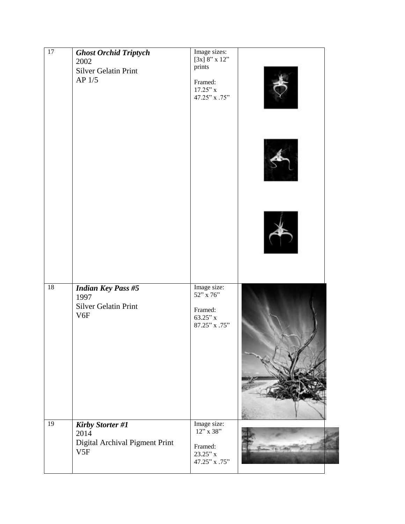| $\overline{17}$ | <b>Ghost Orchid Triptych</b><br>2002<br><b>Silver Gelatin Print</b><br>AP $1/5$     | Image sizes:<br>[3x] $8"$ x 12"<br>prints<br>Framed:<br>$17.25"$ x<br>47.25" x .75" |  |
|-----------------|-------------------------------------------------------------------------------------|-------------------------------------------------------------------------------------|--|
| 18              | <b>Indian Key Pass #5</b><br>1997<br><b>Silver Gelatin Print</b><br>V <sub>6F</sub> | Image size:<br>52" x 76"<br>Framed:<br>$63.25"$ x<br>87.25" x .75"                  |  |
| 19              | <b>Kirby Storter #1</b><br>2014<br>Digital Archival Pigment Print<br>V5F            | Image size:<br>$12"\times 38"$<br>Framed:<br>$23.25"$ x<br>47.25" x .75"            |  |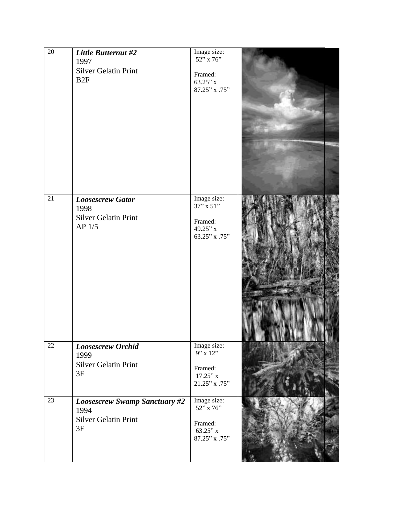| $\overline{20}$ | Little Butternut #2<br>1997<br><b>Silver Gelatin Print</b><br>B2F          | Image size:<br>$52''$ x 76"<br>Framed:<br>63.25"x<br>$87.25"$ x .75"         |  |
|-----------------|----------------------------------------------------------------------------|------------------------------------------------------------------------------|--|
| 21              | <b>Loosescrew Gator</b><br>1998<br><b>Silver Gelatin Print</b><br>$AP$ 1/5 | Image size:<br>$37"$ x 51"<br>Framed:<br>49.25"x<br>63.25" x .75"            |  |
| 22              | <b>Loosescrew Orchid</b><br>1999<br>Silver Gelatin Print<br>3F             | Image size:<br>$9'' \times 12''$<br>Framed:<br>$17.25"$ x<br>$21.25"$ x .75" |  |
| $\overline{23}$ | <b>Loosescrew Swamp Sanctuary #2</b><br>1994<br>Silver Gelatin Print<br>3F | Image size:<br>52" x 76"<br>Framed:<br>63.25"x<br>$87.25"$ x $.75"$          |  |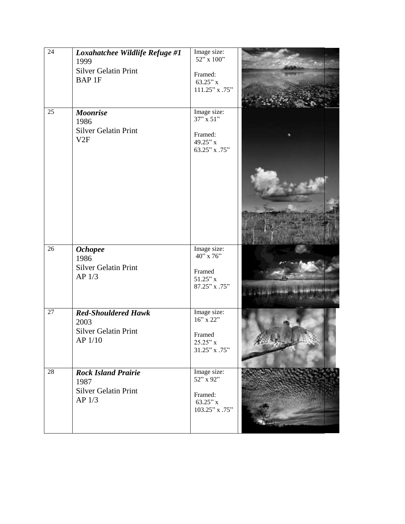| $\overline{24}$ | Loxahatchee Wildlife Refuge #1<br>1999<br><b>Silver Gelatin Print</b>                  | Image size:<br>52" x 100"                                           |  |
|-----------------|----------------------------------------------------------------------------------------|---------------------------------------------------------------------|--|
|                 | <b>BAP1F</b>                                                                           | Framed:<br>$63.25"$ x<br>111.25" x .75"                             |  |
| 25              | <b>Moonrise</b><br>1986<br><b>Silver Gelatin Print</b><br>V2F                          | Image size:<br>$37"$ x 51"<br>Framed:<br>49.25"x<br>63.25" x .75"   |  |
|                 |                                                                                        |                                                                     |  |
| 26              | <b>Ochopee</b>                                                                         | Image size:                                                         |  |
|                 | 1986<br><b>Silver Gelatin Print</b><br>AP <sub>1/3</sub>                               | $40"$ x 76"<br>Framed<br>$51.25"$ x<br>87.25" x .75"                |  |
| 27              | <b>Red-Shouldered Hawk</b><br>2003<br><b>Silver Gelatin Print</b><br>AP 1/10           | Image size:<br>16" x 22"<br>Framed<br>$25.25"$ x<br>31.25" x .75"   |  |
| 28              | <b>Rock Island Prairie</b><br>1987<br><b>Silver Gelatin Print</b><br>AP <sub>1/3</sub> | Image size:<br>52" x 92"<br>Framed:<br>$63.25"$ x<br>103.25" x .75" |  |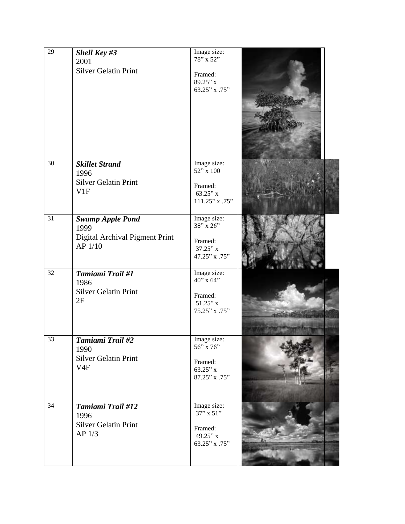| $\overline{29}$ | <b>Shell Key #3</b><br>2001<br><b>Silver Gelatin Print</b>                    | Image size:<br>78" x 52"<br>Framed:<br>89.25"x<br>63.25" x .75"        |  |
|-----------------|-------------------------------------------------------------------------------|------------------------------------------------------------------------|--|
| $\overline{30}$ | <b>Skillet Strand</b><br>1996<br><b>Silver Gelatin Print</b><br>V1F           | Image size:<br>52" x 100<br>Framed:<br>$63.25"$ x<br>111.25" x .75"    |  |
| 31              | <b>Swamp Apple Pond</b><br>1999<br>Digital Archival Pigment Print<br>AP 1/10  | Image size:<br>38" x 26"<br>Framed:<br>$37.25"$ x<br>47.25" x .75"     |  |
| 32              | Tamiami Trail #1<br>1986<br><b>Silver Gelatin Print</b><br>2F                 | Image size:<br>40" x 64"<br>Framed:<br>$51.25"$ x<br>75.25" x .75"     |  |
| 33              | Tamiami Trail #2<br>1990<br><b>Silver Gelatin Print</b><br>V <sub>4F</sub>    | Image size:<br>$56''$ x 76"<br>Framed:<br>$63.25"$ x<br>87.25" x .75"  |  |
| 34              | Tamiami Trail #12<br>1996<br><b>Silver Gelatin Print</b><br>AP <sub>1/3</sub> | Image size:<br>$37$ " x $51$ "<br>Framed:<br>49.25" x<br>63.25" x .75" |  |